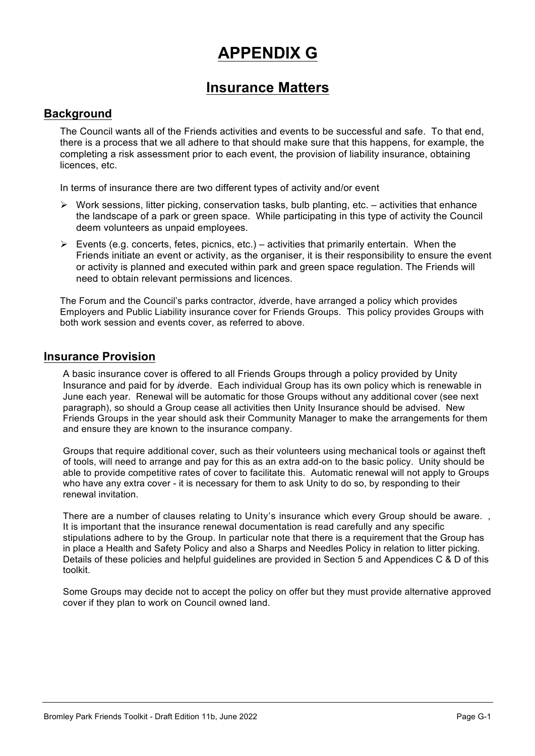# **APPENDIX G**

# **Insurance Matters**

# **Background**

The Council wants all of the Friends activities and events to be successful and safe. To that end, there is a process that we all adhere to that should make sure that this happens, for example, the completing a risk assessment prior to each event, the provision of liability insurance, obtaining licences, etc.

In terms of insurance there are two different types of activity and/or event

- $\triangleright$  Work sessions, litter picking, conservation tasks, bulb planting, etc. activities that enhance the landscape of a park or green space. While participating in this type of activity the Council deem volunteers as unpaid employees.
- $\triangleright$  Events (e.g. concerts, fetes, picnics, etc.) activities that primarily entertain. When the Friends initiate an event or activity, as the organiser, it is their responsibility to ensure the event or activity is planned and executed within park and green space regulation. The Friends will need to obtain relevant permissions and licences.

The Forum and the Council's parks contractor, *i*dverde, have arranged a policy which provides Employers and Public Liability insurance cover for Friends Groups. This policy provides Groups with both work session and events cover, as referred to above.

### **Insurance Provision**

A basic insurance cover is offered to all Friends Groups through a policy provided by Unity Insurance and paid for by *i*dverde. Each individual Group has its own policy which is renewable in June each year. Renewal will be automatic for those Groups without any additional cover (see next paragraph), so should a Group cease all activities then Unity Insurance should be advised. New Friends Groups in the year should ask their Community Manager to make the arrangements for them and ensure they are known to the insurance company.

Groups that require additional cover, such as their volunteers using mechanical tools or against theft of tools, will need to arrange and pay for this as an extra add-on to the basic policy. Unity should be able to provide competitive rates of cover to facilitate this. Automatic renewal will not apply to Groups who have any extra cover - it is necessary for them to ask Unity to do so, by responding to their renewal invitation.

There are a number of clauses relating to Unity's insurance which every Group should be aware. It is important that the insurance renewal documentation is read carefully and any specific stipulations adhere to by the Group. In particular note that there is a requirement that the Group has in place a Health and Safety Policy and also a Sharps and Needles Policy in relation to litter picking. Details of these policies and helpful guidelines are provided in Section 5 and Appendices C & D of this toolkit.

Some Groups may decide not to accept the policy on offer but they must provide alternative approved cover if they plan to work on Council owned land.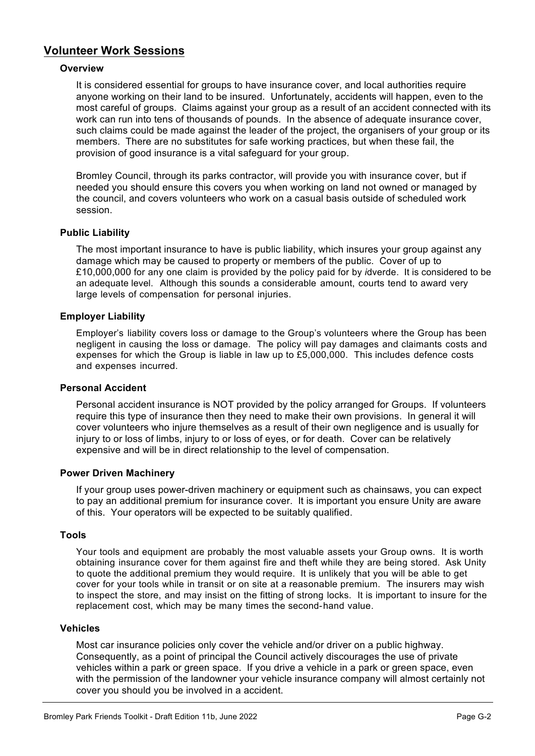# **Volunteer Work Sessions**

#### **Overview**

It is considered essential for groups to have insurance cover, and local authorities require anyone working on their land to be insured. Unfortunately, accidents will happen, even to the most careful of groups. Claims against your group as a result of an accident connected with its work can run into tens of thousands of pounds. In the absence of adequate insurance cover, such claims could be made against the leader of the project, the organisers of your group or its members. There are no substitutes for safe working practices, but when these fail, the provision of good insurance is a vital safeguard for your group.

Bromley Council, through its parks contractor, will provide you with insurance cover, but if needed you should ensure this covers you when working on land not owned or managed by the council, and covers volunteers who work on a casual basis outside of scheduled work session.

#### **Public Liability**

The most important insurance to have is public liability, which insures your group against any damage which may be caused to property or members of the public. Cover of up to £10,000,000 for any one claim is provided by the policy paid for by *i*dverde. It is considered to be an adequate level. Although this sounds a considerable amount, courts tend to award very large levels of compensation for personal injuries.

#### **Employer Liability**

Employer's liability covers loss or damage to the Group's volunteers where the Group has been negligent in causing the loss or damage. The policy will pay damages and claimants costs and expenses for which the Group is liable in law up to £5,000,000. This includes defence costs and expenses incurred.

#### **Personal Accident**

Personal accident insurance is NOT provided by the policy arranged for Groups. If volunteers require this type of insurance then they need to make their own provisions. In general it will cover volunteers who injure themselves as a result of their own negligence and is usually for injury to or loss of limbs, injury to or loss of eyes, or for death. Cover can be relatively expensive and will be in direct relationship to the level of compensation.

#### **Power Driven Machinery**

If your group uses power-driven machinery or equipment such as chainsaws, you can expect to pay an additional premium for insurance cover. It is important you ensure Unity are aware of this. Your operators will be expected to be suitably qualified.

#### **Tools**

Your tools and equipment are probably the most valuable assets your Group owns. It is worth obtaining insurance cover for them against fire and theft while they are being stored. Ask Unity to quote the additional premium they would require. It is unlikely that you will be able to get cover for your tools while in transit or on site at a reasonable premium. The insurers may wish to inspect the store, and may insist on the fitting of strong locks. It is important to insure for the replacement cost, which may be many times the second-hand value.

#### **Vehicles**

Most car insurance policies only cover the vehicle and/or driver on a public highway. Consequently, as a point of principal the Council actively discourages the use of private vehicles within a park or green space. If you drive a vehicle in a park or green space, even with the permission of the landowner your vehicle insurance company will almost certainly not cover you should you be involved in a accident.